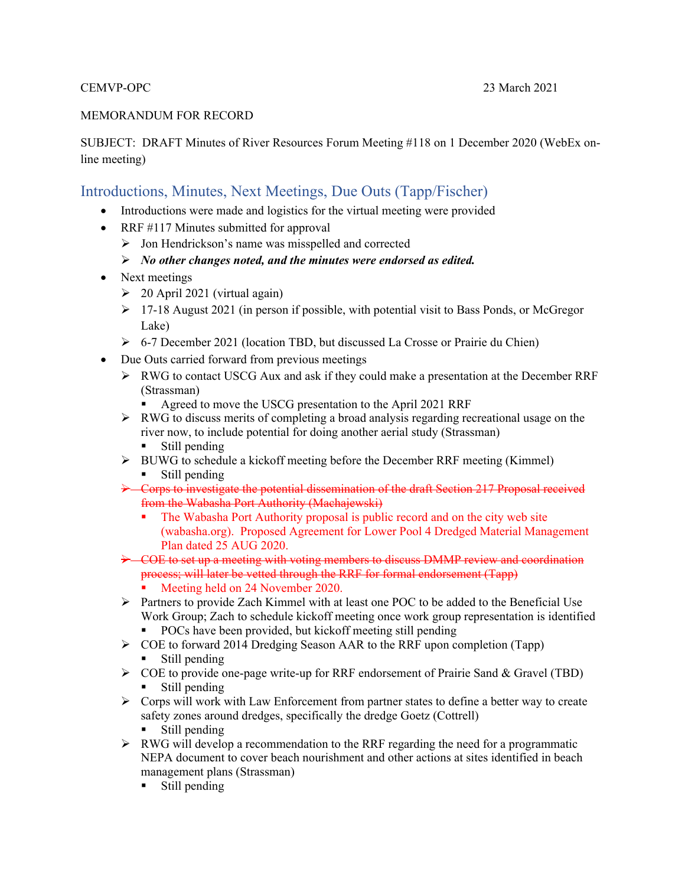#### MEMORANDUM FOR RECORD

SUBJECT: DRAFT Minutes of River Resources Forum Meeting #118 on 1 December 2020 (WebEx online meeting)

# Introductions, Minutes, Next Meetings, Due Outs (Tapp/Fischer)

- Introductions were made and logistics for the virtual meeting were provided
- RRF #117 Minutes submitted for approval
	- $\triangleright$  Jon Hendrickson's name was misspelled and corrected
	- *No other changes noted, and the minutes were endorsed as edited.*
- Next meetings
	- $\geq$  20 April 2021 (virtual again)
	- $\geq 17$ -18 August 2021 (in person if possible, with potential visit to Bass Ponds, or McGregor Lake)
	- $\triangleright$  6-7 December 2021 (location TBD, but discussed La Crosse or Prairie du Chien)
- Due Outs carried forward from previous meetings
	- $\triangleright$  RWG to contact USCG Aux and ask if they could make a presentation at the December RRF (Strassman)
		- Agreed to move the USCG presentation to the April 2021 RRF
	- $\triangleright$  RWG to discuss merits of completing a broad analysis regarding recreational usage on the river now, to include potential for doing another aerial study (Strassman)
		- Still pending
	- $\triangleright$  BUWG to schedule a kickoff meeting before the December RRF meeting (Kimmel) Still pending
	- Corps to investigate the potential dissemination of the draft Section 217 Proposal received from the Wabasha Port Authority (Machajewski)
		- The Wabasha Port Authority proposal is public record and on the city web site (wabasha.org). Proposed Agreement for Lower Pool 4 Dredged Material Management Plan dated 25 AUG 2020.
	- COE to set up a meeting with voting members to discuss DMMP review and coordination process; will later be vetted through the RRF for formal endorsement (Tapp)
		- Meeting held on 24 November 2020.
	- $\triangleright$  Partners to provide Zach Kimmel with at least one POC to be added to the Beneficial Use Work Group; Zach to schedule kickoff meeting once work group representation is identified • POCs have been provided, but kickoff meeting still pending
	- $\triangleright$  COE to forward 2014 Dredging Season AAR to the RRF upon completion (Tapp)
		- **Still pending**
	- $\triangleright$  COE to provide one-page write-up for RRF endorsement of Prairie Sand & Gravel (TBD) **Still pending**
	- $\triangleright$  Corps will work with Law Enforcement from partner states to define a better way to create safety zones around dredges, specifically the dredge Goetz (Cottrell)
		- Still pending
	- $\triangleright$  RWG will develop a recommendation to the RRF regarding the need for a programmatic NEPA document to cover beach nourishment and other actions at sites identified in beach management plans (Strassman)
		- **Still pending**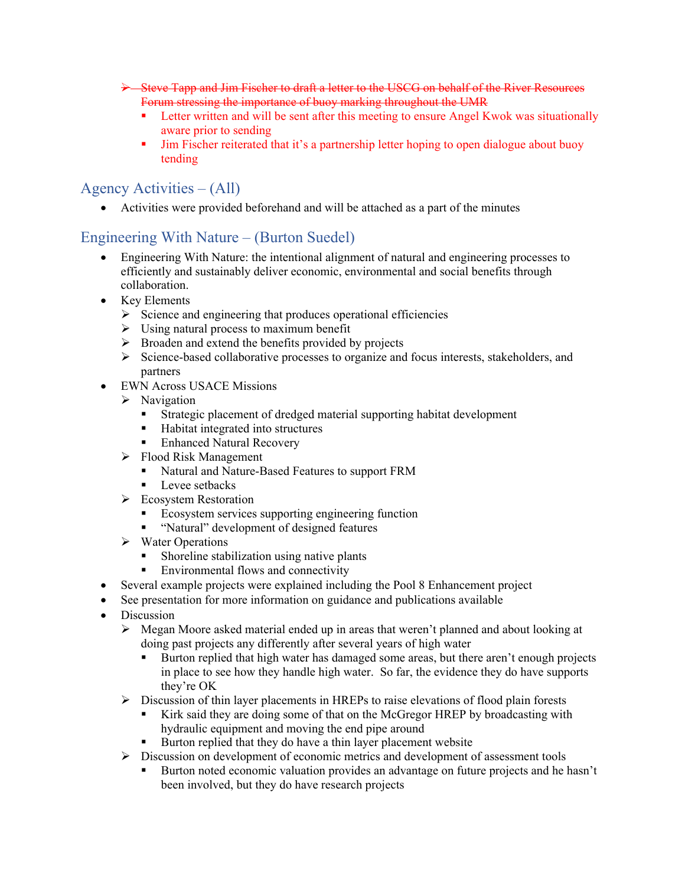- Steve Tapp and Jim Fischer to draft a letter to the USCG on behalf of the River Resources Forum stressing the importance of buoy marking throughout the UMR
	- Letter written and will be sent after this meeting to ensure Angel Kwok was situationally aware prior to sending
	- Jim Fischer reiterated that it's a partnership letter hoping to open dialogue about buoy tending

# Agency Activities – (All)

Activities were provided beforehand and will be attached as a part of the minutes

# Engineering With Nature – (Burton Suedel)

- Engineering With Nature: the intentional alignment of natural and engineering processes to efficiently and sustainably deliver economic, environmental and social benefits through collaboration.
- Key Elements
	- $\triangleright$  Science and engineering that produces operational efficiencies
	- $\triangleright$  Using natural process to maximum benefit
	- $\triangleright$  Broaden and extend the benefits provided by projects
	- $\triangleright$  Science-based collaborative processes to organize and focus interests, stakeholders, and partners
- EWN Across USACE Missions
	- $\triangleright$  Navigation
		- Strategic placement of dredged material supporting habitat development
		- Habitat integrated into structures
		- Enhanced Natural Recovery
	- Flood Risk Management
		- Katural and Nature-Based Features to support FRM
		- **Level setbacks**
	- Ecosystem Restoration
		- **Example 1** Ecosystem services supporting engineering function
		- " "Natural" development of designed features
	- $\triangleright$  Water Operations
		- Shoreline stabilization using native plants
		- **Environmental flows and connectivity**
- Several example projects were explained including the Pool 8 Enhancement project
- See presentation for more information on guidance and publications available
- Discussion
	- $\triangleright$  Megan Moore asked material ended up in areas that weren't planned and about looking at doing past projects any differently after several years of high water
		- **Burton replied that high water has damaged some areas, but there aren't enough projects** in place to see how they handle high water. So far, the evidence they do have supports they're OK
	- $\triangleright$  Discussion of thin layer placements in HREPs to raise elevations of flood plain forests
		- Kirk said they are doing some of that on the McGregor HREP by broadcasting with hydraulic equipment and moving the end pipe around
		- Burton replied that they do have a thin layer placement website
	- $\triangleright$  Discussion on development of economic metrics and development of assessment tools
		- Burton noted economic valuation provides an advantage on future projects and he hasn't been involved, but they do have research projects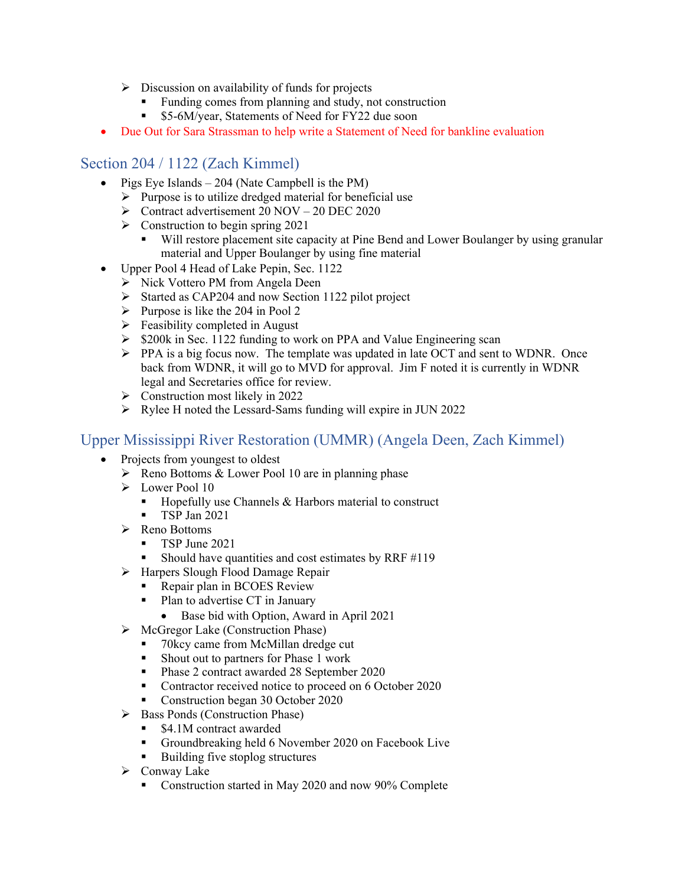- $\triangleright$  Discussion on availability of funds for projects
	- **Funding comes from planning and study, not construction**
	- \$5-6M/year, Statements of Need for FY22 due soon
- Due Out for Sara Strassman to help write a Statement of Need for bankline evaluation

#### Section 204 / 1122 (Zach Kimmel)

- Pigs Eye Islands  $-204$  (Nate Campbell is the PM)
	- $\triangleright$  Purpose is to utilize dredged material for beneficial use
	- $\triangleright$  Contract advertisement 20 NOV 20 DEC 2020
	- $\triangleright$  Construction to begin spring 2021
		- Will restore placement site capacity at Pine Bend and Lower Boulanger by using granular material and Upper Boulanger by using fine material
- Upper Pool 4 Head of Lake Pepin, Sec. 1122
	- > Nick Vottero PM from Angela Deen
	- $\triangleright$  Started as CAP204 and now Section 1122 pilot project
	- Purpose is like the 204 in Pool 2
	- $\triangleright$  Feasibility completed in August
	- $\geq$  \$200k in Sec. 1122 funding to work on PPA and Value Engineering scan
	- PPA is a big focus now. The template was updated in late OCT and sent to WDNR. Once back from WDNR, it will go to MVD for approval. Jim F noted it is currently in WDNR legal and Secretaries office for review.
	- $\triangleright$  Construction most likely in 2022
	- $\triangleright$  Rylee H noted the Lessard-Sams funding will expire in JUN 2022

#### Upper Mississippi River Restoration (UMMR) (Angela Deen, Zach Kimmel)

- Projects from youngest to oldest
	- $\triangleright$  Reno Bottoms & Lower Pool 10 are in planning phase
	- **Lower Pool 10** 
		- $\blacksquare$  Hopefully use Channels & Harbors material to construct
		- **TSP Jan 2021**
	- $\triangleright$  Reno Bottoms
		- $\blacksquare$  TSP June 2021
		- Should have quantities and cost estimates by RRF  $\#119$
	- > Harpers Slough Flood Damage Repair
		- Repair plan in BCOES Review
			- Plan to advertise CT in January
				- Base bid with Option, Award in April 2021
	- $\triangleright$  McGregor Lake (Construction Phase)
		- 70 kcy came from McMillan dredge cut
		- Shout out to partners for Phase 1 work
		- Phase 2 contract awarded 28 September 2020
		- Contractor received notice to proceed on 6 October 2020
		- Construction began 30 October 2020
	- $\triangleright$  Bass Ponds (Construction Phase)
		- \$4.1M contract awarded
		- Groundbreaking held 6 November 2020 on Facebook Live
		- Building five stoplog structures
	- $\triangleright$  Conway Lake
		- Construction started in May 2020 and now 90% Complete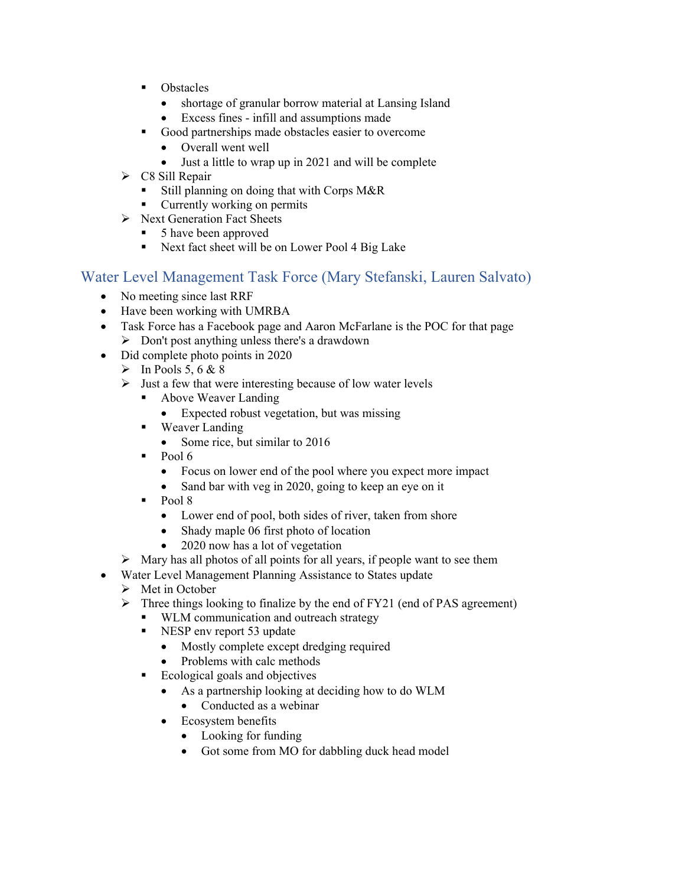- **•** Obstacles
	- shortage of granular borrow material at Lansing Island
	- Excess fines infill and assumptions made
- Good partnerships made obstacles easier to overcome
	- Overall went well
		- Just a little to wrap up in 2021 and will be complete
- $\triangleright$  C8 Sill Repair
	- Still planning on doing that with Corps M&R
	- **Currently working on permits**
- $\triangleright$  Next Generation Fact Sheets
	- 5 have been approved
	- Next fact sheet will be on Lower Pool 4 Big Lake

#### Water Level Management Task Force (Mary Stefanski, Lauren Salvato)

- No meeting since last RRF
- Have been working with UMRBA
- Task Force has a Facebook page and Aaron McFarlane is the POC for that page  $\triangleright$  Don't post anything unless there's a drawdown
- Did complete photo points in 2020
	- $\triangleright$  In Pools 5, 6 & 8
	- $\triangleright$  Just a few that were interesting because of low water levels
		- Above Weaver Landing
			- Expected robust vegetation, but was missing
		- **Weaver Landing** 
			- Some rice, but similar to 2016
		- $\text{-} \quad \text{Pool} \, 6$ 
			- Focus on lower end of the pool where you expect more impact
			- Sand bar with veg in 2020, going to keep an eye on it
		- $\text{Pool } 8$ 
			- Lower end of pool, both sides of river, taken from shore
			- Shady maple 06 first photo of location
			- 2020 now has a lot of vegetation
	- $\triangleright$  Mary has all photos of all points for all years, if people want to see them
- Water Level Management Planning Assistance to States update
	- $\triangleright$  Met in October
	- $\triangleright$  Three things looking to finalize by the end of FY21 (end of PAS agreement)
		- WLM communication and outreach strategy
		- NESP env report 53 update
			- Mostly complete except dredging required
		- Problems with calc methods
		- Ecological goals and objectives
			- As a partnership looking at deciding how to do WLM
				- Conducted as a webinar
			- Ecosystem benefits
				- Looking for funding
				- Got some from MO for dabbling duck head model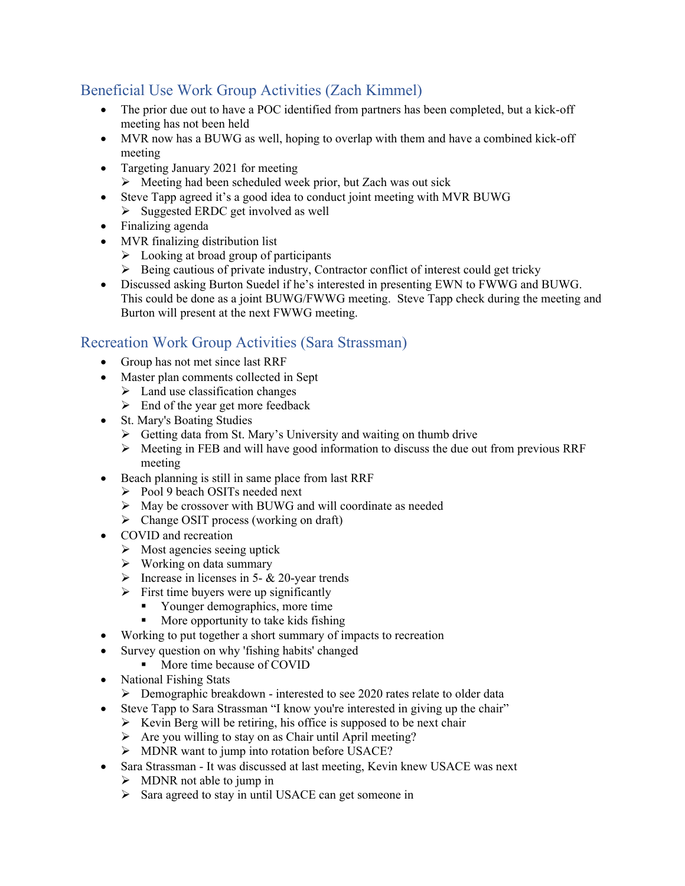# Beneficial Use Work Group Activities (Zach Kimmel)

- The prior due out to have a POC identified from partners has been completed, but a kick-off meeting has not been held
- MVR now has a BUWG as well, hoping to overlap with them and have a combined kick-off meeting
- Targeting January 2021 for meeting
	- $\triangleright$  Meeting had been scheduled week prior, but Zach was out sick
- Steve Tapp agreed it's a good idea to conduct joint meeting with MVR BUWG
	- $\triangleright$  Suggested ERDC get involved as well
- Finalizing agenda
- MVR finalizing distribution list
	- $\triangleright$  Looking at broad group of participants
	- $\triangleright$  Being cautious of private industry, Contractor conflict of interest could get tricky
- Discussed asking Burton Suedel if he's interested in presenting EWN to FWWG and BUWG. This could be done as a joint BUWG/FWWG meeting. Steve Tapp check during the meeting and Burton will present at the next FWWG meeting.

# Recreation Work Group Activities (Sara Strassman)

- Group has not met since last RRF
- Master plan comments collected in Sept
	- $\triangleright$  Land use classification changes
	- $\triangleright$  End of the year get more feedback
- St. Mary's Boating Studies
	- $\triangleright$  Getting data from St. Mary's University and waiting on thumb drive
	- $\triangleright$  Meeting in FEB and will have good information to discuss the due out from previous RRF meeting
	- Beach planning is still in same place from last RRF
		- Pool 9 beach OSITs needed next
		- May be crossover with BUWG and will coordinate as needed
		- $\triangleright$  Change OSIT process (working on draft)
- COVID and recreation
	- $\triangleright$  Most agencies seeing uptick
	- $\triangleright$  Working on data summary
	- $\triangleright$  Increase in licenses in 5- & 20-year trends
	- $\triangleright$  First time buyers were up significantly
		- Younger demographics, more time
		- **More opportunity to take kids fishing**
- Working to put together a short summary of impacts to recreation
- Survey question on why 'fishing habits' changed
	- **More time because of COVID**
- National Fishing Stats
	- $\triangleright$  Demographic breakdown interested to see 2020 rates relate to older data
- Steve Tapp to Sara Strassman "I know you're interested in giving up the chair"
	- $\triangleright$  Kevin Berg will be retiring, his office is supposed to be next chair
	- $\triangleright$  Are you willing to stay on as Chair until April meeting?
	- > MDNR want to jump into rotation before USACE?
- Sara Strassman It was discussed at last meeting, Kevin knew USACE was next
	- $\triangleright$  MDNR not able to jump in
	- $\triangleright$  Sara agreed to stay in until USACE can get someone in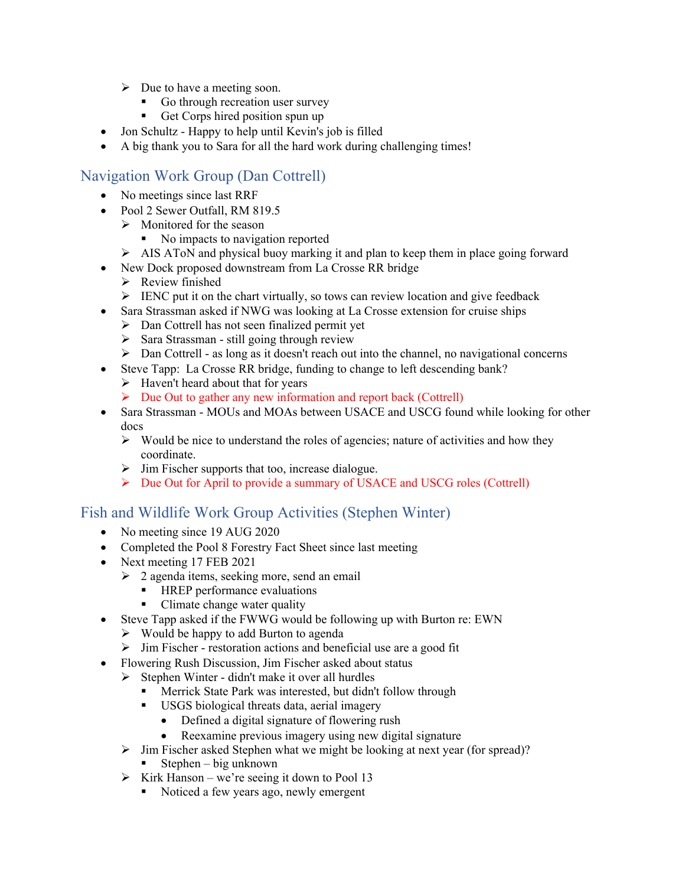- $\triangleright$  Due to have a meeting soon.
	- Go through recreation user survey
	- Get Corps hired position spun up
- Jon Schultz Happy to help until Kevin's job is filled
- A big thank you to Sara for all the hard work during challenging times!

# Navigation Work Group (Dan Cottrell)

- No meetings since last RRF
- Pool 2 Sewer Outfall, RM 819.5
	- $\triangleright$  Monitored for the season
		- No impacts to navigation reported
	- $\triangleright$  AIS AToN and physical buoy marking it and plan to keep them in place going forward
- New Dock proposed downstream from La Crosse RR bridge
	- $\triangleright$  Review finished
	- $\triangleright$  IENC put it on the chart virtually, so tows can review location and give feedback
- Sara Strassman asked if NWG was looking at La Crosse extension for cruise ships
	- Dan Cottrell has not seen finalized permit yet
	- $\triangleright$  Sara Strassman still going through review
	- $\triangleright$  Dan Cottrell as long as it doesn't reach out into the channel, no navigational concerns
- Steve Tapp: La Crosse RR bridge, funding to change to left descending bank?
	- $\triangleright$  Haven't heard about that for years
	- $\triangleright$  Due Out to gather any new information and report back (Cottrell)
- Sara Strassman MOUs and MOAs between USACE and USCG found while looking for other docs
	- $\triangleright$  Would be nice to understand the roles of agencies; nature of activities and how they coordinate.
	- $\triangleright$  Jim Fischer supports that too, increase dialogue.
	- $\triangleright$  Due Out for April to provide a summary of USACE and USCG roles (Cottrell)

# Fish and Wildlife Work Group Activities (Stephen Winter)

- No meeting since 19 AUG 2020
- Completed the Pool 8 Forestry Fact Sheet since last meeting
- Next meeting 17 FEB 2021
	- $\geq 2$  agenda items, seeking more, send an email
		- HREP performance evaluations
		- Climate change water quality
- Steve Tapp asked if the FWWG would be following up with Burton re: EWN
	- Would be happy to add Burton to agenda
	- $\triangleright$  Jim Fischer restoration actions and beneficial use are a good fit
- Flowering Rush Discussion, Jim Fischer asked about status
	- $\triangleright$  Stephen Winter didn't make it over all hurdles
		- Merrick State Park was interested, but didn't follow through
		- USGS biological threats data, aerial imagery
			- Defined a digital signature of flowering rush
			- Reexamine previous imagery using new digital signature
	- $\triangleright$  Jim Fischer asked Stephen what we might be looking at next year (for spread)?
		- Stephen big unknown
	- $\triangleright$  Kirk Hanson we're seeing it down to Pool 13
		- Noticed a few years ago, newly emergent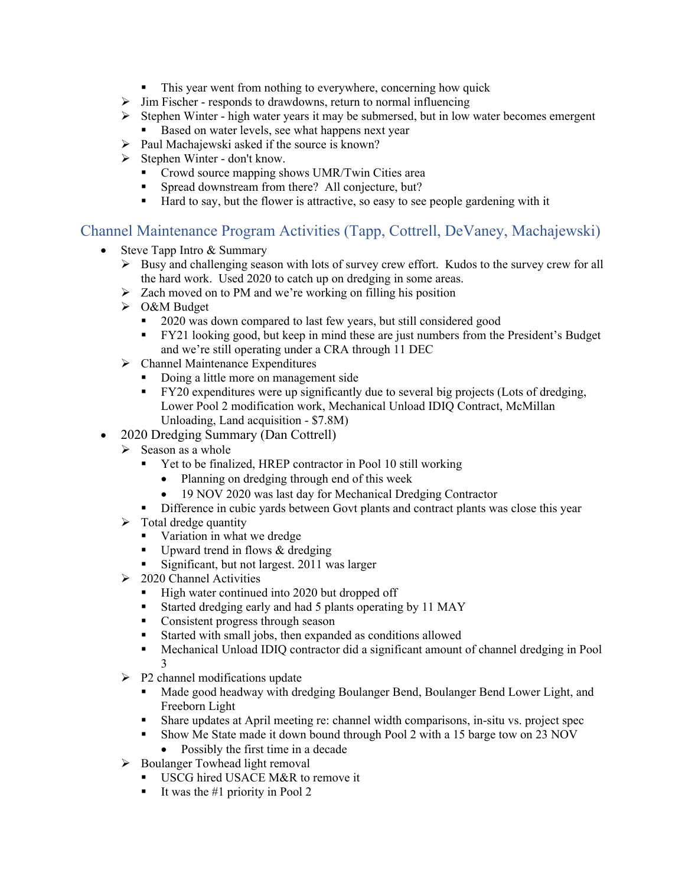- This year went from nothing to everywhere, concerning how quick
- $\triangleright$  Jim Fischer responds to drawdowns, return to normal influencing
- $\triangleright$  Stephen Winter high water years it may be submersed, but in low water becomes emergent
	- Based on water levels, see what happens next year
- $\triangleright$  Paul Machajewski asked if the source is known?
- $\triangleright$  Stephen Winter don't know.
	- Crowd source mapping shows UMR/Twin Cities area
	- **Spread downstream from there?** All conjecture, but?
	- Hard to say, but the flower is attractive, so easy to see people gardening with it

# Channel Maintenance Program Activities (Tapp, Cottrell, DeVaney, Machajewski)

- Steve Tapp Intro & Summary
	- Busy and challenging season with lots of survey crew effort. Kudos to the survey crew for all the hard work. Used 2020 to catch up on dredging in some areas.
	- $\geq$  Zach moved on to PM and we're working on filling his position
	- O&M Budget
		- <sup>2020</sup> was down compared to last few years, but still considered good
		- **FY21** looking good, but keep in mind these are just numbers from the President's Budget and we're still operating under a CRA through 11 DEC
	- $\triangleright$  Channel Maintenance Expenditures
		- Doing a little more on management side
		- **FY20** expenditures were up significantly due to several big projects (Lots of dredging, Lower Pool 2 modification work, Mechanical Unload IDIQ Contract, McMillan Unloading, Land acquisition - \$7.8M)
- 2020 Dredging Summary (Dan Cottrell)
	- $\triangleright$  Season as a whole
		- Yet to be finalized, HREP contractor in Pool 10 still working
			- Planning on dredging through end of this week
			- 19 NOV 2020 was last day for Mechanical Dredging Contractor
		- **Difference in cubic yards between Govt plants and contract plants was close this year**
	- $\triangleright$  Total dredge quantity
		- **Variation in what we dredge**
		- Upward trend in flows & dredging
		- Significant, but not largest. 2011 was larger
	- $\geq$  2020 Channel Activities
		- $\blacksquare$  High water continued into 2020 but dropped off
		- Started dredging early and had 5 plants operating by 11 MAY
		- **Consistent progress through season**
		- Started with small jobs, then expanded as conditions allowed
		- Mechanical Unload IDIQ contractor did a significant amount of channel dredging in Pool 3
	- $\triangleright$  P2 channel modifications update
		- Made good headway with dredging Boulanger Bend, Boulanger Bend Lower Light, and Freeborn Light
		- Share updates at April meeting re: channel width comparisons, in-situ vs. project spec
		- Show Me State made it down bound through Pool 2 with a 15 barge tow on 23 NOV
			- Possibly the first time in a decade
	- $\triangleright$  Boulanger Towhead light removal
		- USCG hired USACE M&R to remove it
		- It was the #1 priority in Pool 2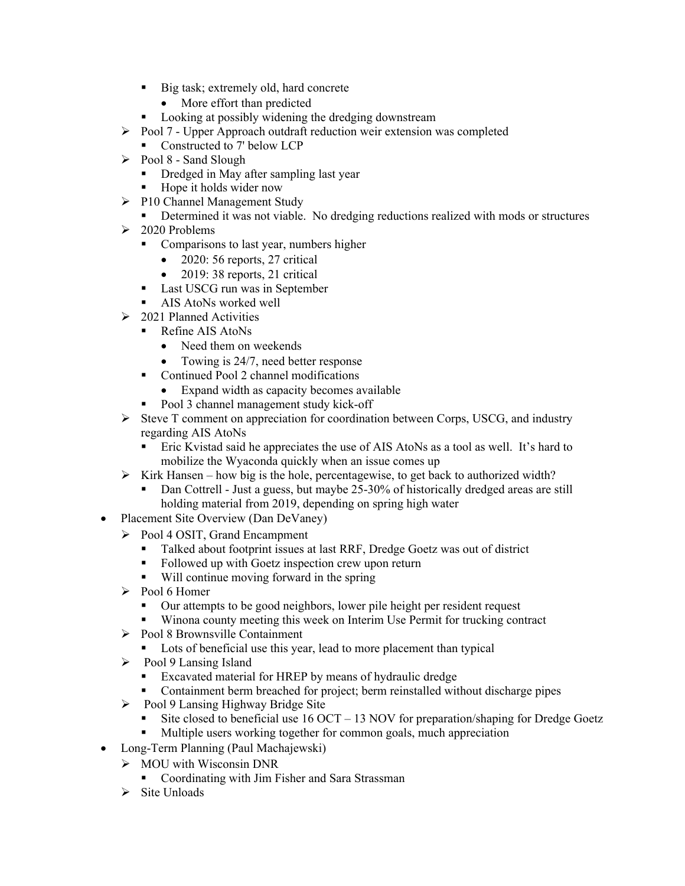- Big task; extremely old, hard concrete
	- More effort than predicted
- **Looking at possibly widening the dredging downstream**
- $\triangleright$  Pool 7 Upper Approach outdraft reduction weir extension was completed
	- Constructed to 7' below LCP
- $\triangleright$  Pool 8 Sand Slough
	- **Dredged in May after sampling last year**
	- Hope it holds wider now
- ▶ P10 Channel Management Study
	- **•** Determined it was not viable. No dredging reductions realized with mods or structures
- $\geq 2020$  Problems
	- Comparisons to last year, numbers higher
		- $\bullet$  2020: 56 reports, 27 critical
		- 2019: 38 reports, 21 critical
	- **Last USCG** run was in September
	- **AIS AtoNs worked well**
- $\geq 2021$  Planned Activities
	- Refine AIS AtoNs
		- Need them on weekends
		- Towing is 24/7, need better response
	- Continued Pool 2 channel modifications
		- Expand width as capacity becomes available
	- Pool 3 channel management study kick-off
- $\triangleright$  Steve T comment on appreciation for coordination between Corps, USCG, and industry regarding AIS AtoNs
	- Eric Kvistad said he appreciates the use of AIS AtoNs as a tool as well. It's hard to mobilize the Wyaconda quickly when an issue comes up
- $\triangleright$  Kirk Hansen how big is the hole, percentagewise, to get back to authorized width?
	- Dan Cottrell Just a guess, but maybe 25-30% of historically dredged areas are still holding material from 2019, depending on spring high water
- Placement Site Overview (Dan DeVaney)
	- Pool 4 OSIT, Grand Encampment
		- Talked about footprint issues at last RRF, Dredge Goetz was out of district<br>■ Followed un with Goetz inspection crew upon return
		- Followed up with Goetz inspection crew upon return
		- Will continue moving forward in the spring
	- $\triangleright$  Pool 6 Homer
		- Our attempts to be good neighbors, lower pile height per resident request
		- Winona county meeting this week on Interim Use Permit for trucking contract
	- Pool 8 Brownsville Containment
		- Lots of beneficial use this year, lead to more placement than typical
	- $\triangleright$  Pool 9 Lansing Island
		- **Excavated material for HREP by means of hydraulic dredge**
		- Containment berm breached for project; berm reinstalled without discharge pipes
	- $\triangleright$  Pool 9 Lansing Highway Bridge Site
		- Site closed to beneficial use 16 OCT 13 NOV for preparation/shaping for Dredge Goetz
		- Multiple users working together for common goals, much appreciation
- Long-Term Planning (Paul Machajewski)
	- $\triangleright$  MOU with Wisconsin DNR
		- Coordinating with Jim Fisher and Sara Strassman
	- $\triangleright$  Site Unloads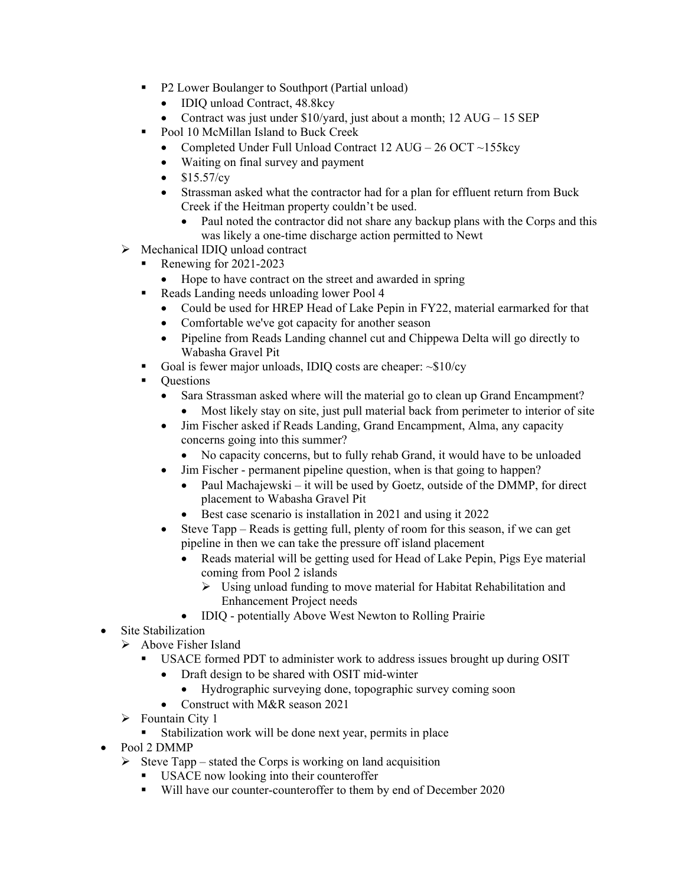- **P2 Lower Boulanger to Southport (Partial unload)** 
	- IDIQ unload Contract, 48.8kcy
	- Contract was just under  $$10/$ vard, just about a month;  $12$  AUG 15 SEP
- Pool 10 McMillan Island to Buck Creek
	- Completed Under Full Unload Contract  $12 \text{ AUG} 26 \text{ OCT} \sim 155 \text{keV}$
	- Waiting on final survey and payment
	- $\bullet$  \$15.57/cy
	- Strassman asked what the contractor had for a plan for effluent return from Buck Creek if the Heitman property couldn't be used.
		- Paul noted the contractor did not share any backup plans with the Corps and this was likely a one-time discharge action permitted to Newt
- > Mechanical IDIQ unload contract
	- Renewing for 2021-2023
		- Hope to have contract on the street and awarded in spring
	- Reads Landing needs unloading lower Pool 4
		- Could be used for HREP Head of Lake Pepin in FY22, material earmarked for that
		- Comfortable we've got capacity for another season
		- Pipeline from Reads Landing channel cut and Chippewa Delta will go directly to Wabasha Gravel Pit
		- Goal is fewer major unloads, IDIQ costs are cheaper: ~\$10/cy
	- Questions
		- Sara Strassman asked where will the material go to clean up Grand Encampment?
			- Most likely stay on site, just pull material back from perimeter to interior of site
		- Jim Fischer asked if Reads Landing, Grand Encampment, Alma, any capacity concerns going into this summer?
			- No capacity concerns, but to fully rehab Grand, it would have to be unloaded
		- Jim Fischer permanent pipeline question, when is that going to happen?
			- Paul Machajewski it will be used by Goetz, outside of the DMMP, for direct placement to Wabasha Gravel Pit
			- Best case scenario is installation in 2021 and using it 2022
		- Steve Tapp Reads is getting full, plenty of room for this season, if we can get pipeline in then we can take the pressure off island placement
			- Reads material will be getting used for Head of Lake Pepin, Pigs Eye material coming from Pool 2 islands
				- $\triangleright$  Using unload funding to move material for Habitat Rehabilitation and Enhancement Project needs
			- IDIQ potentially Above West Newton to Rolling Prairie
- Site Stabilization
	- $\triangleright$  Above Fisher Island
		- USACE formed PDT to administer work to address issues brought up during OSIT
		- Draft design to be shared with OSIT mid-winter
			- Hydrographic surveying done, topographic survey coming soon
		- Construct with M&R season 2021
	- $\triangleright$  Fountain City 1
		- Stabilization work will be done next year, permits in place
- Pool 2 DMMP
	- $\triangleright$  Steve Tapp stated the Corps is working on land acquisition
		- USACE now looking into their counteroffer
		- Will have our counter-counteroffer to them by end of December 2020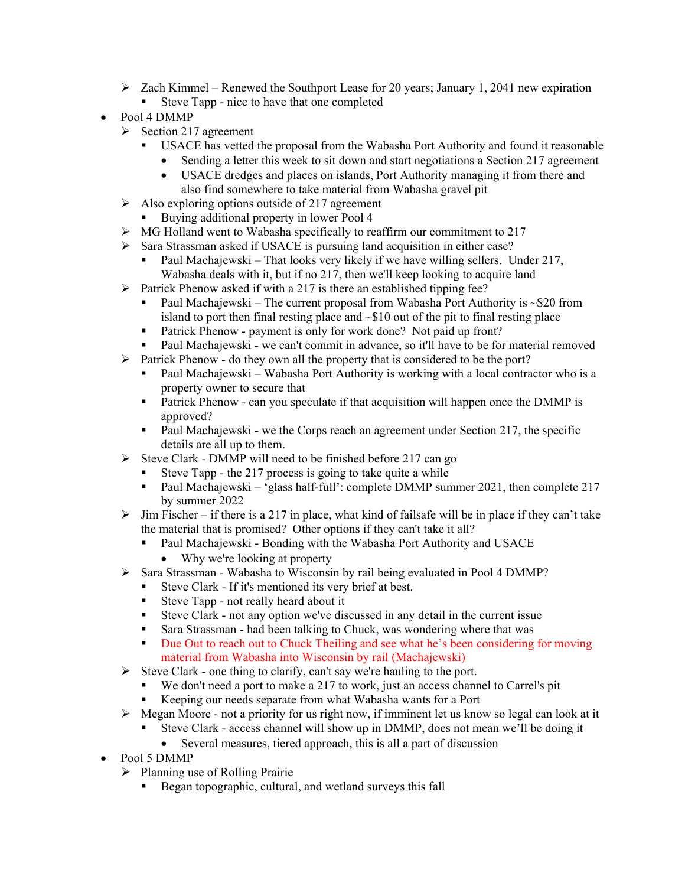- $\triangleright$  Zach Kimmel Renewed the Southport Lease for 20 years; January 1, 2041 new expiration
	- Steve Tapp nice to have that one completed
- Pool 4 DMMP
	- $\triangleright$  Section 217 agreement
		- USACE has vetted the proposal from the Wabasha Port Authority and found it reasonable
			- Sending a letter this week to sit down and start negotiations a Section 217 agreement
			- USACE dredges and places on islands, Port Authority managing it from there and also find somewhere to take material from Wabasha gravel pit
	- $\triangleright$  Also exploring options outside of 217 agreement
		- Buying additional property in lower Pool 4
	- MG Holland went to Wabasha specifically to reaffirm our commitment to 217
	- $\triangleright$  Sara Strassman asked if USACE is pursuing land acquisition in either case?
		- Paul Machajewski That looks very likely if we have willing sellers. Under 217, Wabasha deals with it, but if no 217, then we'll keep looking to acquire land
	- $\triangleright$  Patrick Phenow asked if with a 217 is there an established tipping fee?
		- Paul Machajewski The current proposal from Wabasha Port Authority is  $\sim$ \$20 from island to port then final resting place and  $\sim $10$  out of the pit to final resting place
		- **Patrick Phenow payment is only for work done?** Not paid up front?
		- Paul Machajewski we can't commit in advance, so it'll have to be for material removed
	- $\triangleright$  Patrick Phenow do they own all the property that is considered to be the port?
		- Paul Machajewski Wabasha Port Authority is working with a local contractor who is a property owner to secure that
		- Patrick Phenow can you speculate if that acquisition will happen once the DMMP is approved?
		- Paul Machajewski we the Corps reach an agreement under Section 217, the specific details are all up to them.
	- $\triangleright$  Steve Clark DMMP will need to be finished before 217 can go
		- Steve Tapp the 217 process is going to take quite a while
			- Paul Machajewski 'glass half-full': complete DMMP summer 2021, then complete 217 by summer 2022
	- $\triangleright$  Jim Fischer if there is a 217 in place, what kind of failsafe will be in place if they can't take the material that is promised? Other options if they can't take it all?
		- Paul Machajewski Bonding with the Wabasha Port Authority and USACE
			- Why we're looking at property
	- Sara Strassman Wabasha to Wisconsin by rail being evaluated in Pool 4 DMMP?
		- Steve Clark If it's mentioned its very brief at best.
		- Steve Tapp not really heard about it
		- Steve Clark not any option we've discussed in any detail in the current issue
		- Sara Strassman had been talking to Chuck, was wondering where that was
		- Due Out to reach out to Chuck Theiling and see what he's been considering for moving material from Wabasha into Wisconsin by rail (Machajewski)
	- Steve Clark one thing to clarify, can't say we're hauling to the port.
		- We don't need a port to make a 217 to work, just an access channel to Carrel's pit
		- Keeping our needs separate from what Wabasha wants for a Port
	- $\triangleright$  Megan Moore not a priority for us right now, if imminent let us know so legal can look at it
		- Steve Clark access channel will show up in DMMP, does not mean we'll be doing it
			- Several measures, tiered approach, this is all a part of discussion
- Pool 5 DMMP
	- $\triangleright$  Planning use of Rolling Prairie
		- Began topographic, cultural, and wetland surveys this fall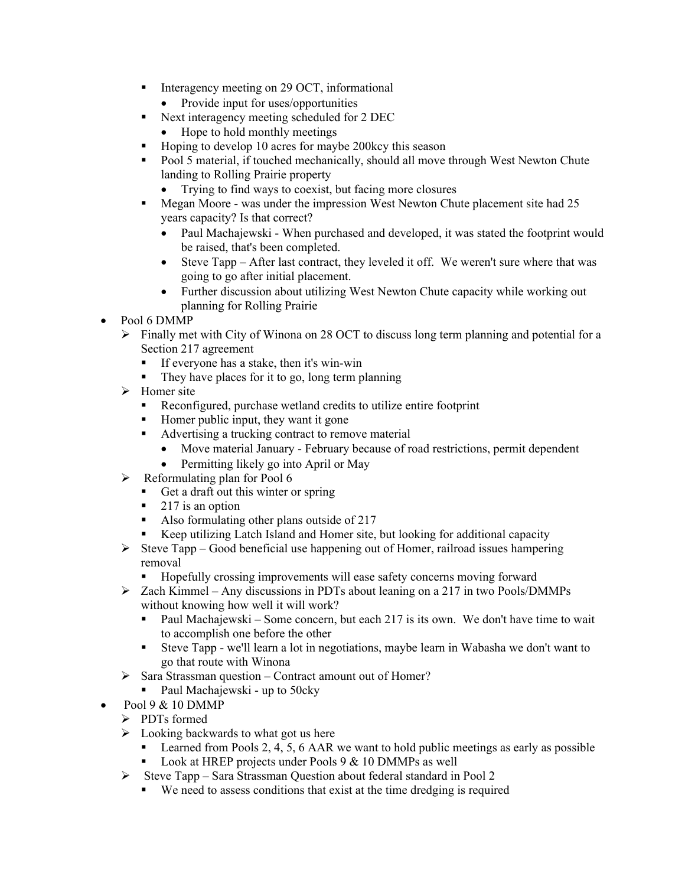- Interagency meeting on 29 OCT, informational
	- Provide input for uses/opportunities
- Next interagency meeting scheduled for 2 DEC
	- Hope to hold monthly meetings
- Hoping to develop 10 acres for maybe 200kcy this season
- Pool 5 material, if touched mechanically, should all move through West Newton Chute landing to Rolling Prairie property
	- Trying to find ways to coexist, but facing more closures
- **Megan Moore was under the impression West Newton Chute placement site had 25** years capacity? Is that correct?
	- Paul Machajewski When purchased and developed, it was stated the footprint would be raised, that's been completed.
	- Steve Tapp After last contract, they leveled it off. We weren't sure where that was going to go after initial placement.
	- Further discussion about utilizing West Newton Chute capacity while working out planning for Rolling Prairie
- Pool 6 DMMP
	- $\triangleright$  Finally met with City of Winona on 28 OCT to discuss long term planning and potential for a Section 217 agreement
		- If everyone has a stake, then it's win-win
		- $\blacksquare$  They have places for it to go, long term planning
	- $\triangleright$  Homer site
		- Reconfigured, purchase wetland credits to utilize entire footprint
		- Homer public input, they want it gone
		- Advertising a trucking contract to remove material
			- Move material January February because of road restrictions, permit dependent
			- Permitting likely go into April or May
	- $\triangleright$  Reformulating plan for Pool 6
		- Get a draft out this winter or spring
		- $\blacksquare$  217 is an option
		- Also formulating other plans outside of 217
		- Keep utilizing Latch Island and Homer site, but looking for additional capacity
	- $\triangleright$  Steve Tapp Good beneficial use happening out of Homer, railroad issues hampering removal
		- Hopefully crossing improvements will ease safety concerns moving forward
	- Zach Kimmel Any discussions in PDTs about leaning on a 217 in two Pools/DMMPs without knowing how well it will work?
		- Paul Machajewski Some concern, but each 217 is its own. We don't have time to wait to accomplish one before the other
		- Steve Tapp we'll learn a lot in negotiations, maybe learn in Wabasha we don't want to go that route with Winona
	- $\triangleright$  Sara Strassman question Contract amount out of Homer?
		- Paul Machajewski up to 50cky
- Pool 9 & 10 DMMP
	- > PDTs formed
	- $\triangleright$  Looking backwards to what got us here
		- **Learned from Pools 2, 4, 5, 6 AAR we want to hold public meetings as early as possible**
		- **Look at HREP projects under Pools 9 & 10 DMMPs as well**
	- $\triangleright$  Steve Tapp Sara Strassman Question about federal standard in Pool 2
		- We need to assess conditions that exist at the time dredging is required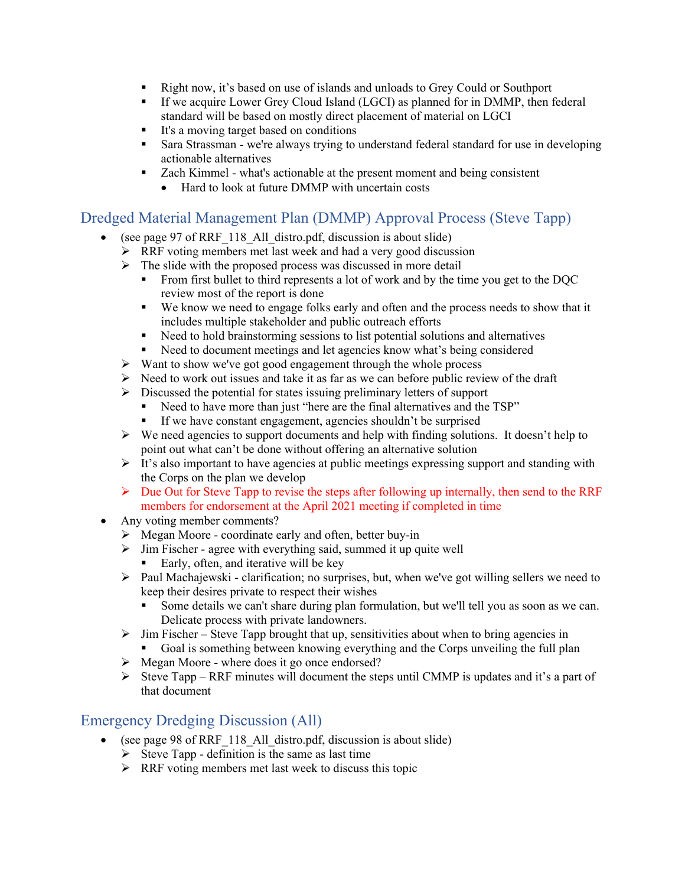- Right now, it's based on use of islands and unloads to Grey Could or Southport
- If we acquire Lower Grey Cloud Island (LGCI) as planned for in DMMP, then federal standard will be based on mostly direct placement of material on LGCI
- It's a moving target based on conditions
- Sara Strassman we're always trying to understand federal standard for use in developing actionable alternatives
- Zach Kimmel what's actionable at the present moment and being consistent
	- Hard to look at future DMMP with uncertain costs

#### Dredged Material Management Plan (DMMP) Approval Process (Steve Tapp)

- (see page 97 of RRF\_118\_All\_distro.pdf, discussion is about slide)
	- $\triangleright$  RRF voting members met last week and had a very good discussion
	- $\triangleright$  The slide with the proposed process was discussed in more detail
		- From first bullet to third represents a lot of work and by the time you get to the DQC review most of the report is done
		- We know we need to engage folks early and often and the process needs to show that it includes multiple stakeholder and public outreach efforts
		- Need to hold brainstorming sessions to list potential solutions and alternatives
		- Need to document meetings and let agencies know what's being considered
	- $\triangleright$  Want to show we've got good engagement through the whole process
	- $\triangleright$  Need to work out issues and take it as far as we can before public review of the draft
	- $\triangleright$  Discussed the potential for states issuing preliminary letters of support
		- Need to have more than just "here are the final alternatives and the TSP"
		- If we have constant engagement, agencies shouldn't be surprised
	- $\triangleright$  We need agencies to support documents and help with finding solutions. It doesn't help to point out what can't be done without offering an alternative solution
	- $\triangleright$  It's also important to have agencies at public meetings expressing support and standing with the Corps on the plan we develop
	- $\triangleright$  Due Out for Steve Tapp to revise the steps after following up internally, then send to the RRF members for endorsement at the April 2021 meeting if completed in time
- Any voting member comments?
	- Megan Moore coordinate early and often, better buy-in
	- $\triangleright$  Jim Fischer agree with everything said, summed it up quite well
		- Early, often, and iterative will be key
	- $\triangleright$  Paul Machajewski clarification; no surprises, but, when we've got willing sellers we need to keep their desires private to respect their wishes
		- Some details we can't share during plan formulation, but we'll tell you as soon as we can. Delicate process with private landowners.
	- $\triangleright$  Jim Fischer Steve Tapp brought that up, sensitivities about when to bring agencies in
		- Goal is something between knowing everything and the Corps unveiling the full plan
	- $\triangleright$  Megan Moore where does it go once endorsed?
	- Steve Tapp RRF minutes will document the steps until CMMP is updates and it's a part of that document

#### Emergency Dredging Discussion (All)

- (see page 98 of RRF 118 All distro.pdf, discussion is about slide)
	- $\triangleright$  Steve Tapp definition is the same as last time
	- $\triangleright$  RRF voting members met last week to discuss this topic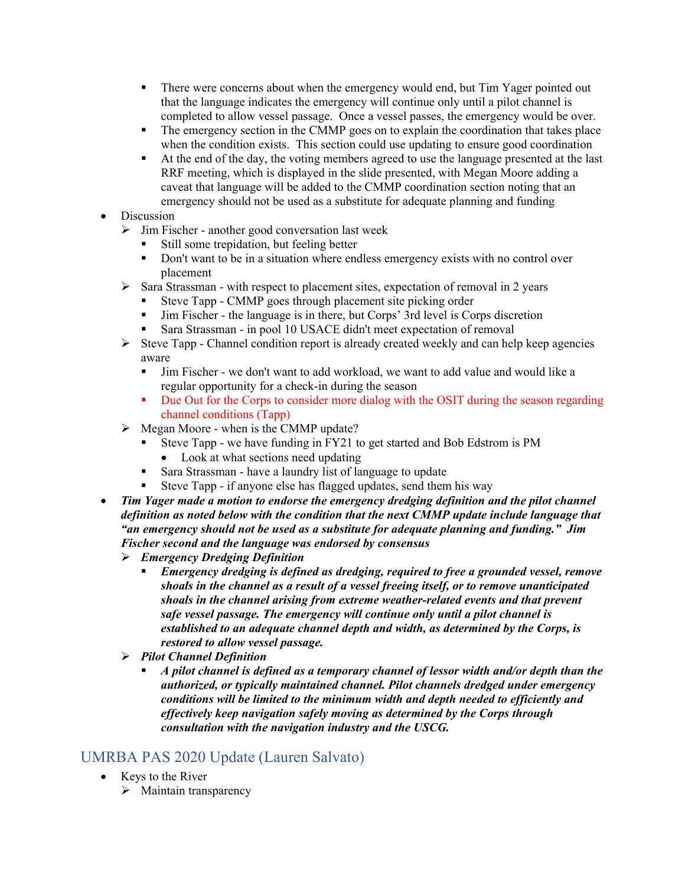- There were concerns about when the emergency would end, but Tim Yager pointed out that the language indicates the emergency will continue only until a pilot channel is completed to allow vessel passage. Once a vessel passes, the emergency would be over.
- The emergency section in the CMMP goes on to explain the coordination that takes place when the condition exists. This section could use updating to ensure good coordination
- At the end of the day, the voting members agreed to use the language presented at the last RRF meeting, which is displayed in the slide presented, with Megan Moore adding a caveat that language will be added to the CMMP coordination section noting that an emergency should not be used as a substitute for adequate planning and funding
- **Discussion** 
	- $\triangleright$  Jim Fischer another good conversation last week
		- Still some trepidation, but feeling better
		- Don't want to be in a situation where endless emergency exists with no control over placement
	- $\triangleright$  Sara Strassman with respect to placement sites, expectation of removal in 2 years
		- Steve Tapp CMMP goes through placement site picking order
		- Jim Fischer the language is in there, but Corps' 3rd level is Corps discretion
		- Sara Strassman in pool 10 USACE didn't meet expectation of removal
	- $\triangleright$  Steve Tapp Channel condition report is already created weekly and can help keep agencies aware
		- Jim Fischer we don't want to add workload, we want to add value and would like a regular opportunity for a check-in during the season
		- Due Out for the Corps to consider more dialog with the OSIT during the season regarding channel conditions (Tapp)
	- $\triangleright$  Megan Moore when is the CMMP update?
		- Steve Tapp we have funding in FY21 to get started and Bob Edstrom is PM • Look at what sections need updating
		- Sara Strassman have a laundry list of language to update
		- Steve Tapp if anyone else has flagged updates, send them his way
- *Tim Yager made a motion to endorse the emergency dredging definition and the pilot channel definition as noted below with the condition that the next CMMP update include language that "an emergency should not be used as a substitute for adequate planning and funding." Jim Fischer second and the language was endorsed by consensus* 
	- *Emergency Dredging Definition* 
		- *Emergency dredging is defined as dredging, required to free a grounded vessel, remove shoals in the channel as a result of a vessel freeing itself, or to remove unanticipated shoals in the channel arising from extreme weather-related events and that prevent safe vessel passage. The emergency will continue only until a pilot channel is established to an adequate channel depth and width, as determined by the Corps, is restored to allow vessel passage.*
	- *Pilot Channel Definition* 
		- *A pilot channel is defined as a temporary channel of lessor width and/or depth than the authorized, or typically maintained channel. Pilot channels dredged under emergency conditions will be limited to the minimum width and depth needed to efficiently and effectively keep navigation safely moving as determined by the Corps through consultation with the navigation industry and the USCG.*

#### UMRBA PAS 2020 Update (Lauren Salvato)

- $\bullet$  Keys to the River
	- $\triangleright$  Maintain transparency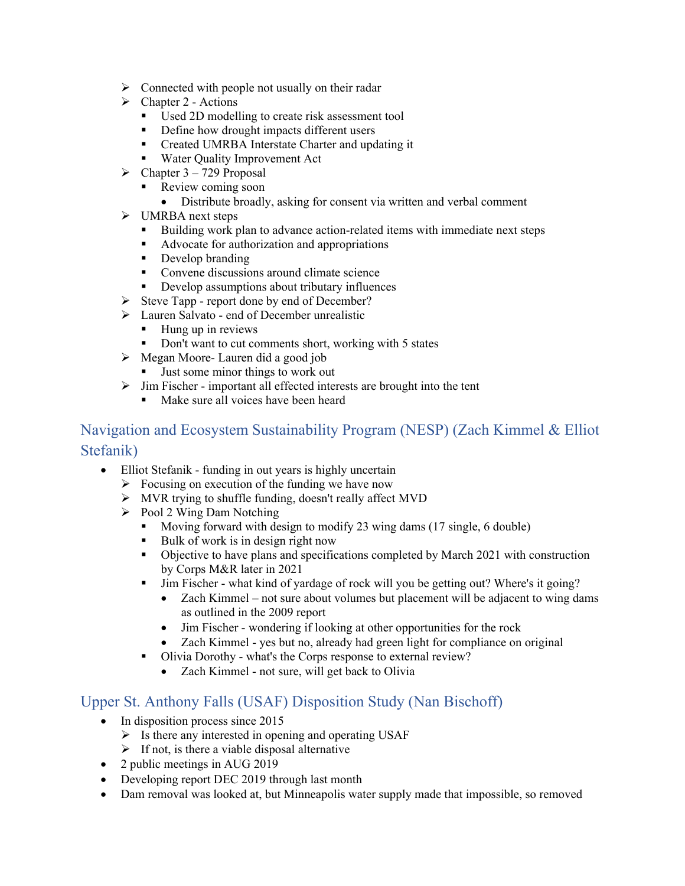- $\triangleright$  Connected with people not usually on their radar
- $\triangleright$  Chapter 2 Actions
	- Used 2D modelling to create risk assessment tool
	- Define how drought impacts different users
	- **Created UMRBA Interstate Charter and updating it**
	- Water Quality Improvement Act
- $\triangleright$  Chapter 3 729 Proposal
	- Review coming soon
		- Distribute broadly, asking for consent via written and verbal comment
- > UMRBA next steps
	- Building work plan to advance action-related items with immediate next steps
	- Advocate for authorization and appropriations
	- Develop branding
	- **Convene discussions around climate science**
	- Develop assumptions about tributary influences
- $\triangleright$  Steve Tapp report done by end of December?
- Lauren Salvato end of December unrealistic
	- Hung up in reviews
	- Don't want to cut comments short, working with 5 states
- $\triangleright$  Megan Moore- Lauren did a good job
	- Just some minor things to work out
- $\triangleright$  Jim Fischer important all effected interests are brought into the tent
	- Make sure all voices have been heard

# Navigation and Ecosystem Sustainability Program (NESP) (Zach Kimmel & Elliot Stefanik)

- Elliot Stefanik funding in out years is highly uncertain
	- $\triangleright$  Focusing on execution of the funding we have now
	- MVR trying to shuffle funding, doesn't really affect MVD
	- $\triangleright$  Pool 2 Wing Dam Notching
		- Moving forward with design to modify 23 wing dams (17 single, 6 double)
		- Bulk of work is in design right now
		- Objective to have plans and specifications completed by March 2021 with construction by Corps M&R later in 2021
		- Jim Fischer what kind of yardage of rock will you be getting out? Where's it going?
			- Zach Kimmel not sure about volumes but placement will be adjacent to wing dams as outlined in the 2009 report
			- Jim Fischer wondering if looking at other opportunities for the rock
			- Zach Kimmel yes but no, already had green light for compliance on original
		- Olivia Dorothy what's the Corps response to external review?
			- Zach Kimmel not sure, will get back to Olivia

# Upper St. Anthony Falls (USAF) Disposition Study (Nan Bischoff)

- In disposition process since 2015
	- $\triangleright$  Is there any interested in opening and operating USAF
	- $\triangleright$  If not, is there a viable disposal alternative
- 2 public meetings in AUG 2019
- Developing report DEC 2019 through last month
- Dam removal was looked at, but Minneapolis water supply made that impossible, so removed